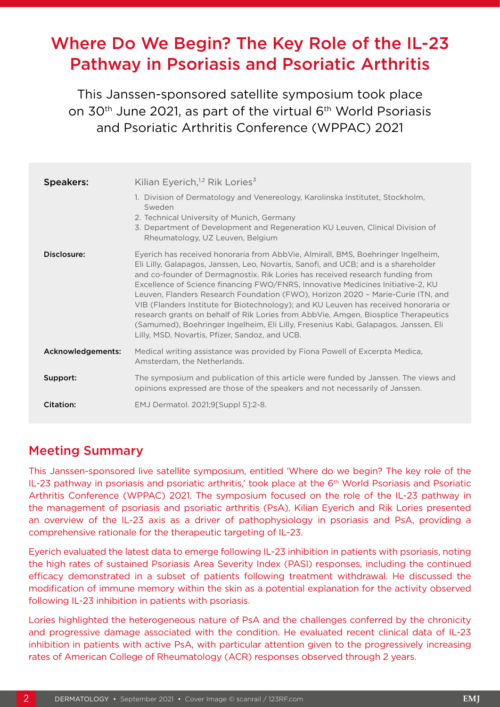# Where Do We Begin? The Key Role of the IL-23 Pathway in Psoriasis and Psoriatic Arthritis

This Janssen-sponsored satellite symposium took place on 30<sup>th</sup> June 2021, as part of the virtual 6<sup>th</sup> World Psoriasis and Psoriatic Arthritis Conference (WPPAC) 2021

| <b>Speakers:</b>  | Kilian Eyerich, <sup>1,2</sup> Rik Lories <sup>3</sup><br>1. Division of Dermatology and Venereology, Karolinska Institutet, Stockholm,<br>Sweden<br>2. Technical University of Munich, Germany<br>3. Department of Development and Regeneration KU Leuven, Clinical Division of<br>Rheumatology, UZ Leuven, Belgium                                                                                                                                                                                                                                                                                                                                                                                                                                 |
|-------------------|------------------------------------------------------------------------------------------------------------------------------------------------------------------------------------------------------------------------------------------------------------------------------------------------------------------------------------------------------------------------------------------------------------------------------------------------------------------------------------------------------------------------------------------------------------------------------------------------------------------------------------------------------------------------------------------------------------------------------------------------------|
| Disclosure:       | Eyerich has received honoraria from AbbVie, Almirall, BMS, Boehringer Ingelheim,<br>Eli Lilly, Galapagos, Janssen, Leo, Novartis, Sanofi, and UCB; and is a shareholder<br>and co-founder of Dermagnostix. Rik Lories has received research funding from<br>Excellence of Science financing FWO/FNRS, Innovative Medicines Initiative-2, KU<br>Leuven, Flanders Research Foundation (FWO), Horizon 2020 - Marie-Curie ITN, and<br>VIB (Flanders Institute for Biotechnology); and KU Leuven has received honoraria or<br>research grants on behalf of Rik Lories from AbbVie, Amgen, Biosplice Therapeutics<br>(Samumed), Boehringer Ingelheim, Eli Lilly, Fresenius Kabi, Galapagos, Janssen, Eli<br>Lilly, MSD, Novartis, Pfizer, Sandoz, and UCB. |
| Acknowledgements: | Medical writing assistance was provided by Fiona Powell of Excerpta Medica,<br>Amsterdam, the Netherlands.                                                                                                                                                                                                                                                                                                                                                                                                                                                                                                                                                                                                                                           |
| Support:          | The symposium and publication of this article were funded by Janssen. The views and<br>opinions expressed are those of the speakers and not necessarily of Janssen.                                                                                                                                                                                                                                                                                                                                                                                                                                                                                                                                                                                  |
| Citation:         | EMJ Dermatol. 2021;9[Suppl 5]:2-8.                                                                                                                                                                                                                                                                                                                                                                                                                                                                                                                                                                                                                                                                                                                   |

### Meeting Summary

This Janssen-sponsored live satellite symposium, entitled 'Where do we begin? The key role of the IL-23 pathway in psoriasis and psoriatic arthritis,' took place at the 6th World Psoriasis and Psoriatic Arthritis Conference (WPPAC) 2021. The symposium focused on the role of the IL-23 pathway in the management of psoriasis and psoriatic arthritis (PsA). Kilian Eyerich and Rik Lories presented an overview of the IL-23 axis as a driver of pathophysiology in psoriasis and PsA, providing a comprehensive rationale for the therapeutic targeting of IL-23.

Eyerich evaluated the latest data to emerge following IL-23 inhibition in patients with psoriasis, noting the high rates of sustained Psoriasis Area Severity Index (PASI) responses, including the continued efficacy demonstrated in a subset of patients following treatment withdrawal. He discussed the modification of immune memory within the skin as a potential explanation for the activity observed following IL-23 inhibition in patients with psoriasis.

Lories highlighted the heterogeneous nature of PsA and the challenges conferred by the chronicity and progressive damage associated with the condition. He evaluated recent clinical data of IL-23 inhibition in patients with active PsA, with particular attention given to the progressively increasing rates of American College of Rheumatology (ACR) responses observed through 2 years.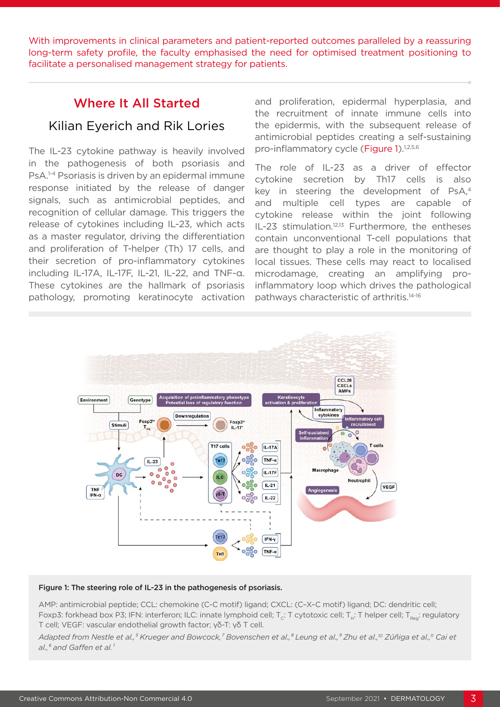With improvements in clinical parameters and patient-reported outcomes paralleled by a reassuring long-term safety profile, the faculty emphasised the need for optimised treatment positioning to facilitate a personalised management strategy for patients.

## Where It All Started

### Kilian Eyerich and Rik Lories

The IL-23 cytokine pathway is heavily involved in the pathogenesis of both psoriasis and PsA.1-4 Psoriasis is driven by an epidermal immune response initiated by the release of danger signals, such as antimicrobial peptides, and recognition of cellular damage. This triggers the release of cytokines including IL-23, which acts as a master regulator, driving the differentiation and proliferation of T-helper (Th) 17 cells, and their secretion of pro-inflammatory cytokines including IL-17A, IL-17F, IL-21, IL-22, and TNF-α. These cytokines are the hallmark of psoriasis pathology, promoting keratinocyte activation and proliferation, epidermal hyperplasia, and the recruitment of innate immune cells into the epidermis, with the subsequent release of antimicrobial peptides creating a self-sustaining pro-inflammatory cycle (Figure 1).<sup>1,2,5,6</sup>

The role of IL-23 as a driver of effector cytokine secretion by Th17 cells is also key in steering the development of PsA,<sup>4</sup> and multiple cell types are capable of cytokine release within the joint following IL-23 stimulation.<sup>12,13</sup> Furthermore, the entheses contain unconventional T-cell populations that are thought to play a role in the monitoring of local tissues. These cells may react to localised microdamage, creating an amplifying proinflammatory loop which drives the pathological pathways characteristic of arthritis.14-16



#### Figure 1: The steering role of IL-23 in the pathogenesis of psoriasis.

AMP: antimicrobial peptide; CCL: chemokine (C-C motif) ligand; CXCL: (C–X–C motif) ligand; DC: dendritic cell; Foxp3: forkhead box P3; IFN: interferon; ILC: innate lymphoid cell; T<sub>c</sub>: T cytotoxic cell; T<sub>u</sub>: T helper cell; T<sub>nes</sub>: regulatory T cell; VEGF: vascular endothelial growth factor; γδ-T: γδ T cell.

*Adapted from Nestle et al.,⁵ Krueger and Bowcock,⁷ Bovenschen et al.,⁸ Leung et al.,⁹ Zhu et al.,10 Zúñiga et al.,11 Cai et*  al.,<sup>6</sup> and Gaffen et al.<sup>1</sup>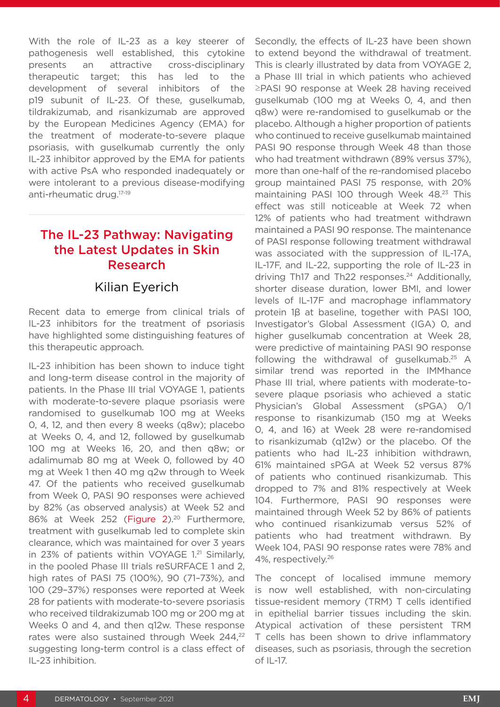With the role of IL-23 as a key steerer of pathogenesis well established, this cytokine presents an attractive cross-disciplinary therapeutic target; this has led to the development of several inhibitors of the p19 subunit of IL-23. Of these, guselkumab, tildrakizumab, and risankizumab are approved by the European Medicines Agency (EMA) for the treatment of moderate-to-severe plaque psoriasis, with guselkumab currently the only IL-23 inhibitor approved by the EMA for patients with active PsA who responded inadequately or were intolerant to a previous disease-modifying anti-rheumatic drug.17-19

### The IL-23 Pathway: Navigating the Latest Updates in Skin Research

### Kilian Eyerich

Recent data to emerge from clinical trials of IL-23 inhibitors for the treatment of psoriasis have highlighted some distinguishing features of this therapeutic approach.

IL-23 inhibition has been shown to induce tight and long-term disease control in the majority of patients. In the Phase III trial VOYAGE 1, patients with moderate-to-severe plaque psoriasis were randomised to guselkumab 100 mg at Weeks 0, 4, 12, and then every 8 weeks (q8w); placebo at Weeks 0, 4, and 12, followed by guselkumab 100 mg at Weeks 16, 20, and then q8w; or adalimumab 80 mg at Week 0, followed by 40 mg at Week 1 then 40 mg q2w through to Week 47. Of the patients who received guselkumab from Week 0, PASI 90 responses were achieved by 82% (as observed analysis) at Week 52 and 86% at Week 252 (Figure 2).<sup>20</sup> Furthermore, treatment with guselkumab led to complete skin clearance, which was maintained for over 3 years in 23% of patients within VOYAGE  $1.21$  Similarly, in the pooled Phase III trials reSURFACE 1 and 2, high rates of PASI 75 (100%), 90 (71–73%), and 100 (29–37%) responses were reported at Week 28 for patients with moderate-to-severe psoriasis who received tildrakizumab 100 mg or 200 mg at Weeks 0 and 4, and then q12w. These response rates were also sustained through Week 244,<sup>22</sup> suggesting long-term control is a class effect of IL-23 inhibition.

Secondly, the effects of IL-23 have been shown to extend beyond the withdrawal of treatment. This is clearly illustrated by data from VOYAGE 2, a Phase III trial in which patients who achieved ≥PASI 90 response at Week 28 having received guselkumab (100 mg at Weeks 0, 4, and then q8w) were re-randomised to guselkumab or the placebo. Although a higher proportion of patients who continued to receive guselkumab maintained PASI 90 response through Week 48 than those who had treatment withdrawn (89% versus 37%), more than one-half of the re-randomised placebo group maintained PASI 75 response, with 20% maintaining PASI 100 through Week 48.23 This effect was still noticeable at Week 72 when 12% of patients who had treatment withdrawn maintained a PASI 90 response. The maintenance of PASI response following treatment withdrawal was associated with the suppression of IL-17A, IL-17F, and IL-22, supporting the role of IL-23 in driving Th17 and Th22 responses.<sup>24</sup> Additionally, shorter disease duration, lower BMI, and lower levels of IL-17F and macrophage inflammatory protein 1β at baseline, together with PASI 100, Investigator's Global Assessment (IGA) 0, and higher guselkumab concentration at Week 28, were predictive of maintaining PASI 90 response following the withdrawal of guselkumab.25 A similar trend was reported in the IMMhance Phase III trial, where patients with moderate-tosevere plaque psoriasis who achieved a static Physician's Global Assessment (sPGA) 0/1 response to risankizumab (150 mg at Weeks 0, 4, and 16) at Week 28 were re-randomised to risankizumab (q12w) or the placebo. Of the patients who had IL-23 inhibition withdrawn, 61% maintained sPGA at Week 52 versus 87% of patients who continued risankizumab. This dropped to 7% and 81% respectively at Week 104. Furthermore, PASI 90 responses were maintained through Week 52 by 86% of patients who continued risankizumab versus 52% of patients who had treatment withdrawn. By Week 104, PASI 90 response rates were 78% and 4%, respectively.26

The concept of localised immune memory is now well established, with non-circulating tissue-resident memory (TRM) T cells identified in epithelial barrier tissues including the skin. Atypical activation of these persistent TRM T cells has been shown to drive inflammatory diseases, such as psoriasis, through the secretion of IL-17.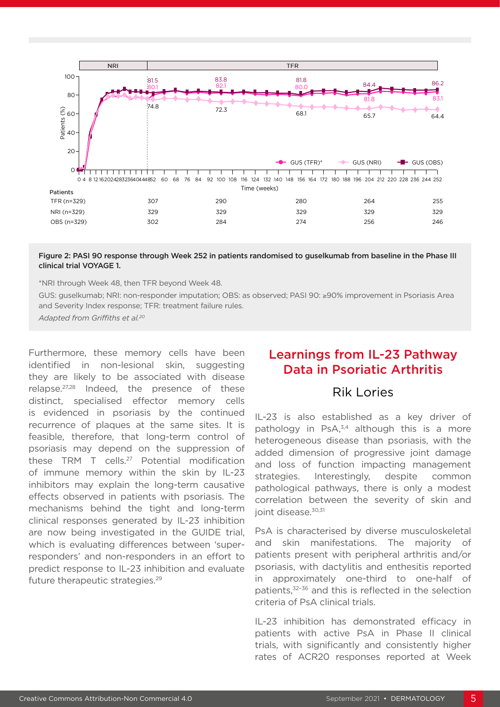

#### Figure 2: PASI 90 response through Week 252 in patients randomised to guselkumab from baseline in the Phase III clinical trial VOYAGE 1.

\*NRI through Week 48, then TFR beyond Week 48.

GUS: guselkumab; NRI: non-responder imputation; OBS: as observed; PASI 90: ≥90% improvement in Psoriasis Area and Severity Index response; TFR: treatment failure rules.

*Adapted from Griffiths et al.20*

Furthermore, these memory cells have been identified in non-lesional skin, suggesting they are likely to be associated with disease relapse.27,28 Indeed, the presence of these distinct, specialised effector memory cells is evidenced in psoriasis by the continued recurrence of plaques at the same sites. It is feasible, therefore, that long-term control of psoriasis may depend on the suppression of these TRM T cells.<sup>27</sup> Potential modification of immune memory within the skin by IL-23 inhibitors may explain the long-term causative effects observed in patients with psoriasis. The mechanisms behind the tight and long-term clinical responses generated by IL-23 inhibition are now being investigated in the GUIDE trial, which is evaluating differences between 'superresponders' and non-responders in an effort to predict response to IL-23 inhibition and evaluate future therapeutic strategies.29

### Learnings from IL-23 Pathway Data in Psoriatic Arthritis

### Rik Lories

IL-23 is also established as a key driver of pathology in  $PSA<sub>3,4</sub>$  although this is a more heterogeneous disease than psoriasis, with the added dimension of progressive joint damage and loss of function impacting management strategies. Interestingly, despite common pathological pathways, there is only a modest correlation between the severity of skin and joint disease.30,31

PsA is characterised by diverse musculoskeletal and skin manifestations. The majority of patients present with peripheral arthritis and/or psoriasis, with dactylitis and enthesitis reported in approximately one-third to one-half of patients,32–36 and this is reflected in the selection criteria of PsA clinical trials.

IL-23 inhibition has demonstrated efficacy in patients with active PsA in Phase II clinical trials, with significantly and consistently higher rates of ACR20 responses reported at Week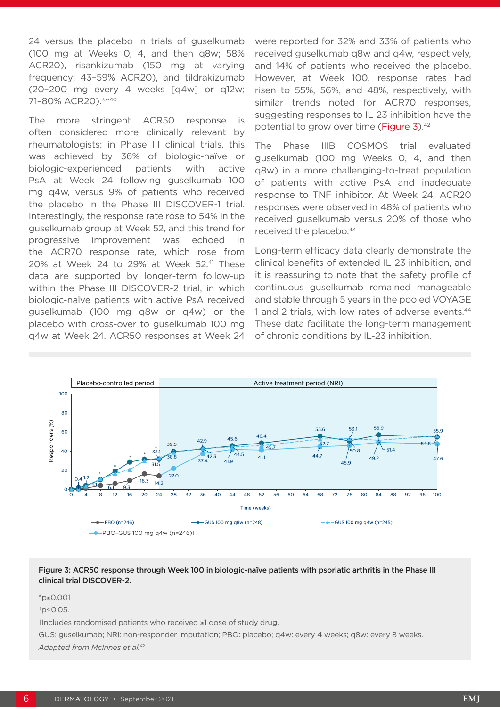24 versus the placebo in trials of guselkumab (100 mg at Weeks 0, 4, and then q8w; 58% ACR20), risankizumab (150 mg at varying frequency; 43–59% ACR20), and tildrakizumab (20–200 mg every 4 weeks [q4w] or q12w; 71–80% ACR20).37-40

The more stringent ACR50 response is often considered more clinically relevant by rheumatologists; in Phase III clinical trials, this was achieved by 36% of biologic-naïve or biologic-experienced patients with active PsA at Week 24 following guselkumab 100 mg q4w, versus 9% of patients who received the placebo in the Phase III DISCOVER-1 trial. Interestingly, the response rate rose to 54% in the guselkumab group at Week 52, and this trend for progressive improvement was echoed in the ACR70 response rate, which rose from 20% at Week 24 to 29% at Week 52.41 These data are supported by longer-term follow-up within the Phase III DISCOVER-2 trial, in which biologic-naïve patients with active PsA received guselkumab (100 mg q8w or q4w) or the placebo with cross-over to guselkumab 100 mg q4w at Week 24. ACR50 responses at Week 24

were reported for 32% and 33% of patients who received guselkumab q8w and q4w, respectively, and 14% of patients who received the placebo. However, at Week 100, response rates had risen to 55%, 56%, and 48%, respectively, with similar trends noted for ACR70 responses, suggesting responses to IL-23 inhibition have the potential to grow over time (Figure 3).<sup>42</sup>

The Phase IIIB COSMOS trial evaluated guselkumab (100 mg Weeks 0, 4, and then q8w) in a more challenging-to-treat population of patients with active PsA and inadequate response to TNF inhibitor. At Week 24, ACR20 responses were observed in 48% of patients who received guselkumab versus 20% of those who received the placebo.<sup>43</sup>

Long-term efficacy data clearly demonstrate the clinical benefits of extended IL-23 inhibition, and it is reassuring to note that the safety profile of continuous guselkumab remained manageable and stable through 5 years in the pooled VOYAGE 1 and 2 trials, with low rates of adverse events.<sup>44</sup> These data facilitate the long-term management of chronic conditions by IL-23 inhibition.



#### Figure 3: ACR50 response through Week 100 in biologic-naïve patients with psoriatic arthritis in the Phase III clinical trial DISCOVER-2.

\*p≤0.001

†p<0.05.

‡Includes randomised patients who received ≥1 dose of study drug.

GUS: guselkumab; NRI: non-responder imputation; PBO: placebo; q4w: every 4 weeks; q8w: every 8 weeks.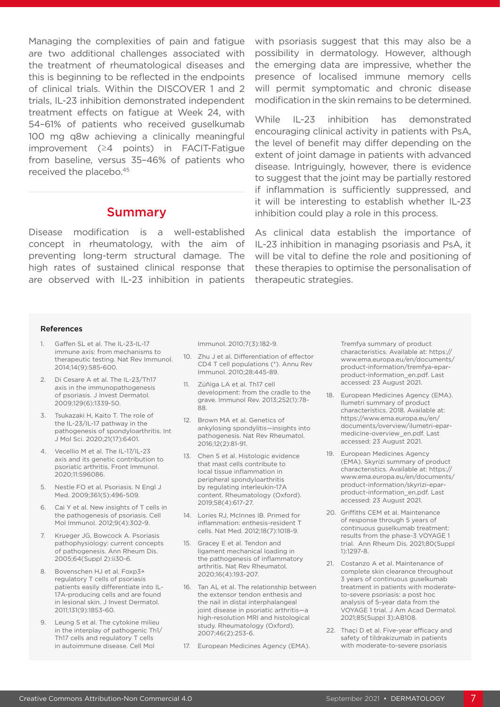Managing the complexities of pain and fatigue are two additional challenges associated with the treatment of rheumatological diseases and this is beginning to be reflected in the endpoints of clinical trials. Within the DISCOVER 1 and 2 trials, IL-23 inhibition demonstrated independent treatment effects on fatigue at Week 24, with 54–61% of patients who received guselkumab 100 mg q8w achieving a clinically meaningful improvement (≥4 points) in FACIT-Fatigue from baseline, versus 35–46% of patients who received the placebo.45

### Summary

Disease modification is a well-established concept in rheumatology, with the aim of preventing long-term structural damage. The high rates of sustained clinical response that are observed with IL-23 inhibition in patients with psoriasis suggest that this may also be a possibility in dermatology. However, although the emerging data are impressive, whether the presence of localised immune memory cells will permit symptomatic and chronic disease modification in the skin remains to be determined.

While IL-23 inhibition has demonstrated encouraging clinical activity in patients with PsA, the level of benefit may differ depending on the extent of joint damage in patients with advanced disease. Intriguingly, however, there is evidence to suggest that the joint may be partially restored if inflammation is sufficiently suppressed, and it will be interesting to establish whether IL-23 inhibition could play a role in this process.

As clinical data establish the importance of IL-23 inhibition in managing psoriasis and PsA, it will be vital to define the role and positioning of these therapies to optimise the personalisation of therapeutic strategies.

#### References

- 1. Gaffen SL et al. The IL-23-IL-17 immune axis: from mechanisms to therapeutic testing. Nat Rev Immunol. 2014;14(9):585-600.
- 2. Di Cesare A et al. The IL-23/Th17 axis in the immunopathogenesis of psoriasis. J Invest Dermatol. 2009;129(6):1339-50.
- 3. Tsukazaki H, Kaito T. The role of the IL-23/IL-17 pathway in the pathogenesis of spondyloarthritis. Int J Mol Sci. 2020;21(17):6401.
- 4. Vecellio M et al. The IL-17/IL-23 axis and its genetic contribution to psoriatic arthritis. Front Immunol. 2020;11:596086.
- 5. Nestle FO et al. Psoriasis. N Engl J Med. 2009;361(5):496-509.
- 6. Cai Y et al. New insights of T cells in the pathogenesis of psoriasis. Cell Mol Immunol. 2012;9(4):302-9.
- 7. Krueger JG, Bowcock A. Psoriasis pathophysiology: current concepts of pathogenesis. Ann Rheum Dis. 2005;64(Suppl 2):ii30-6.
- 8. Bovenschen HJ et al. Foxp3+ regulatory T cells of psoriasis patients easily differentiate into IL-17A-producing cells and are found in lesional skin. J Invest Dermatol. 2011;131(9):1853-60.
- 9. Leung S et al. The cytokine milieu in the interplay of pathogenic Th1/ Th17 cells and regulatory T cells in autoimmune disease. Cell Mol

Immunol. 2010;7(3):182-9.

- 10. Zhu J et al. Differentiation of effector CD4 T cell populations (\*). Annu Rev Immunol. 2010;28:445-89.
- 11. Zúñiga LA et al. Th17 cell development: from the cradle to the grave. Immunol Rev. 2013;252(1):78- 88.
- 12. Brown MA et al. Genetics of ankylosing spondylitis—insights into pathogenesis. Nat Rev Rheumatol. 2016;12(2):81-91.
- 13. Chen S et al. Histologic evidence that mast cells contribute to local tissue inflammation in peripheral spondyloarthritis by regulating interleukin-17A content. Rheumatology (Oxford). 2019;58(4):617-27.
- 14. Lories RJ, McInnes IB. Primed for inflammation: enthesis-resident T cells. Nat Med. 2012;18(7):1018-9.
- 15. Gracey E et al. Tendon and ligament mechanical loading in the pathogenesis of inflammatory arthritis. Nat Rev Rheumatol. 2020;16(4):193-207.
- 16. Tan AL et al. The relationship between the extensor tendon enthesis and the nail in distal interphalangeal joint disease in psoriatic arthritis—a high-resolution MRI and histological study. Rheumatology (Oxford). 2007;46(2):253-6.
- 17. European Medicines Agency (EMA).

Tremfya summary of product characteristics. Available at: https:// www.ema.europa.eu/en/documents/ product-information/tremfya-eparproduct-information\_en.pdf. Last accessed: 23 August 2021.

- 18. European Medicines Agency (EMA). Ilumetri summary of product characteristics. 2018. Available at: https://www.ema.europa.eu/en/ documents/overview/ilumetri-eparmedicine-overview\_en.pdf. Last accessed: 23 August 2021.
- 19. European Medicines Agency (EMA). Skyrizi summary of product characteristics. Available at: https:// www.ema.europa.eu/en/documents/ product-information/skyrizi-eparproduct-information\_en.pdf. Last accessed: 23 August 2021.
- 20. Griffiths CEM et al. Maintenance of response through 5 years of continuous guselkumab treatment: results from the phase-3 VOYAGE 1 trial. Ann Rheum Dis. 2021;80(Suppl 1):1297-8.
- 21. Costanzo A et al. Maintenance of complete skin clearance throughout 3 years of continuous guselkumab treatment in patients with moderateto-severe psoriasis: a post hoc analysis of 5-year data from the VOYAGE 1 trial. J Am Acad Dermatol. 2021;85(Suppl 3):AB108.
- 22. Thaçi D et al. Five-year efficacy and safety of tildrakizumab in patients with moderate-to-severe psoriasis